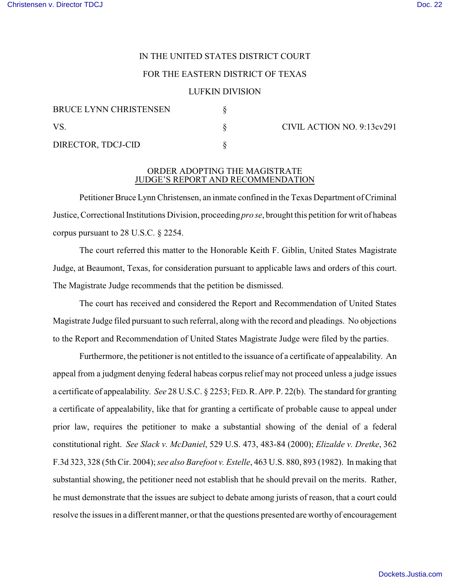# IN THE UNITED STATES DISTRICT COURT

### FOR THE EASTERN DISTRICT OF TEXAS

#### LUFKIN DIVISION

| <b>BRUCE LYNN CHRISTENSEN</b><br>VS.<br>DIRECTOR, TDCJ-CID |  |
|------------------------------------------------------------|--|
|                                                            |  |

 $\S$  CIVIL ACTION NO. 9:13cv291

## ORDER ADOPTING THE MAGISTRATE JUDGE'S REPORT AND RECOMMENDATION

Petitioner Bruce Lynn Christensen, an inmate confined in the Texas Department of Criminal Justice, Correctional Institutions Division, proceeding *pro se*, brought this petition for writ of habeas corpus pursuant to 28 U.S.C. § 2254.

The court referred this matter to the Honorable Keith F. Giblin, United States Magistrate Judge, at Beaumont, Texas, for consideration pursuant to applicable laws and orders of this court. The Magistrate Judge recommends that the petition be dismissed.

The court has received and considered the Report and Recommendation of United States Magistrate Judge filed pursuant to such referral, along with the record and pleadings. No objections to the Report and Recommendation of United States Magistrate Judge were filed by the parties.

Furthermore, the petitioner is not entitled to the issuance of a certificate of appealability. An appeal from a judgment denying federal habeas corpus relief may not proceed unless a judge issues a certificate of appealability. *See* 28 U.S.C. § 2253; FED.R.APP.P. 22(b). The standard for granting a certificate of appealability, like that for granting a certificate of probable cause to appeal under prior law, requires the petitioner to make a substantial showing of the denial of a federal constitutional right. *See Slack v. McDaniel*, 529 U.S. 473, 483-84 (2000); *Elizalde v. Dretke*, 362 F.3d 323, 328 (5th Cir. 2004); *see also Barefoot v. Estelle*, 463 U.S. 880, 893 (1982). In making that substantial showing, the petitioner need not establish that he should prevail on the merits. Rather, he must demonstrate that the issues are subject to debate among jurists of reason, that a court could resolve the issues in a different manner, or that the questions presented are worthy of encouragement